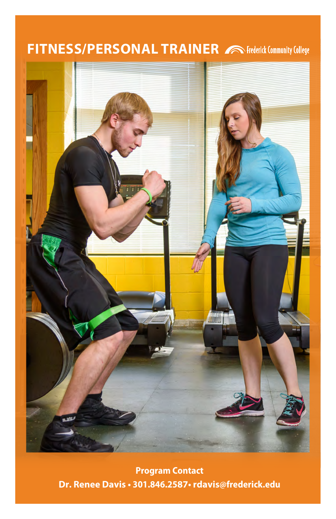## **FITNESS/PERSONAL TRAINER** A Frederick Community College



**Program Contact Dr. Renee Davis • 301.846.2587• rdavis[@frederick.edu](mailto:rdavis@frederick.edu)**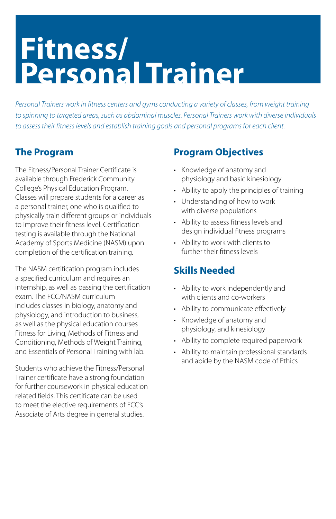# **Fitness/ Personal Trainer**

*Personal Trainers work in fitness centers and gyms conducting a variety of classes, from weight training to spinning to targeted areas, such as abdominal muscles. Personal Trainers work with diverse individuals to assess their fitness levels and establish training goals and personal programs for each client.* 

### **The Program**

The Fitness/Personal Trainer Certificate is available through Frederick Community College's Physical Education Program. Classes will prepare students for a career as a personal trainer, one who is qualified to physically train different groups or individuals to improve their fitness level. Certification testing is available through the National Academy of Sports Medicine (NASM) upon completion of the certification training.

The NASM certification program includes a specified curriculum and requires an internship, as well as passing the certification exam. The FCC/NASM curriculum includes classes in biology, anatomy and physiology, and introduction to business, as well as the physical education courses Fitness for Living, Methods of Fitness and Conditioning, Methods of Weight Training, and Essentials of Personal Training with lab.

Students who achieve the Fitness/Personal Trainer certificate have a strong foundation for further coursework in physical education related fields. This certificate can be used to meet the elective requirements of FCC's Associate of Arts degree in general studies.

#### **Program Objectives**

- Knowledge of anatomy and physiology and basic kinesiology
- Ability to apply the principles of training
- Understanding of how to work with diverse populations
- Ability to assess fitness levels and design individual fitness programs
- Ability to work with clients to further their fitness levels

### **Skills Needed**

- Ability to work independently and with clients and co-workers
- Ability to communicate effectively
- Knowledge of anatomy and physiology, and kinesiology
- Ability to complete required paperwork
- Ability to maintain professional standards and abide by the NASM code of Ethics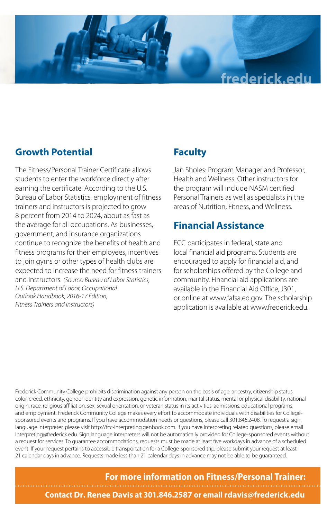

#### **Growth Potential**

The Fitness/Personal Trainer Certificate allows students to enter the workforce directly after earning the certificate. According to the U.S. Bureau of Labor Statistics, employment of fitness trainers and instructors is projected to grow 8 percent from 2014 to 2024, about as fast as the average for all occupations. As businesses, government, and insurance organizations continue to recognize the benefits of health and fitness programs for their employees, incentives to join gyms or other types of health clubs are expected to increase the need for fitness trainers and instructors. *(Source: Bureau of Labor Statistics, U.S. Department of Labor, Occupational Outlook Handbook, 2016-17 Edition, Fitness Trainers and Instructors)*

### **Faculty**

Jan Sholes: Program Manager and Professor, Health and Wellness. Other instructors for the program will include NASM certified Personal Trainers as well as specialists in the areas of Nutrition, Fitness, and Wellness.

#### **Financial Assistance**

FCC participates in federal, state and local financial aid programs. Students are encouraged to apply for financial aid, and for scholarships offered by the College and community. Financial aid applications are available in the Financial Aid Office, J301, or online at www.fafsa.ed.gov. The scholarship application is available at www.frederick.edu.

Frederick Community College prohibits discrimination against any person on the basis of age, ancestry, citizenship status, color, creed, ethnicity, gender identity and expression, genetic information, marital status, mental or physical disability, national origin, race, religious affiliation, sex, sexual orientation, or veteran status in its activities, admissions, educational programs, and employment. Frederick Community College makes every effort to accommodate individuals with disabilities for Collegesponsored events and programs. If you have accommodation needs or questions, please call 301.846.2408. To request a sign language interpreter, please visit http://fcc-interpreting.genbook.com. If you have interpreting related questions, please email Interpreting@frederick.edu. Sign language interpreters will not be automatically provided for College-sponsored events without a request for services. To guarantee accommodations, requests must be made at least five workdays in advance of a scheduled event. If your request pertains to accessible transportation for a College-sponsored trip, please submit your request at least 21 calendar days in advance. Requests made less than 21 calendar days in advance may not be able to be guaranteed.

**For more information on Fitness/Personal Trainer:**

**Contact Dr. Renee Davis at 301.846.2587 or email [rdavis@frederick.edu](mailto:rdavis@frederick.edu)**